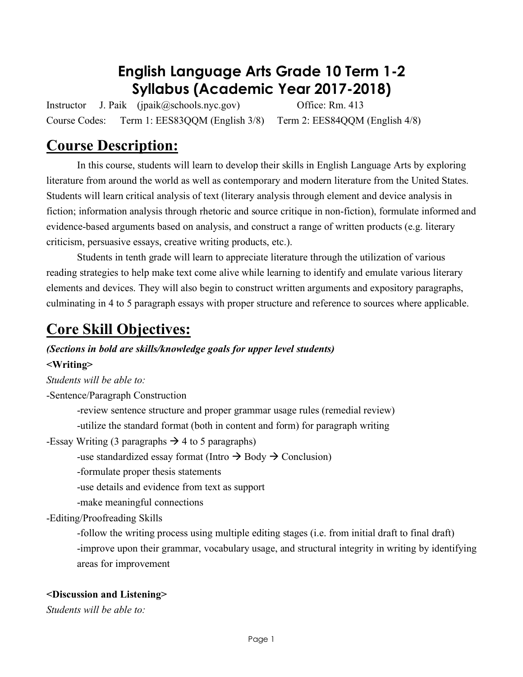# **English Language Arts Grade 10 Term 1-2 Syllabus (Academic Year 2017-2018)**

Instructor J. Paik (jpaik@schools.nyc.gov) Office: Rm. 413 Course Codes: Term 1: EES83QQM (English 3/8) Term 2: EES84QQM (English 4/8)

# **Course Description:**

In this course, students will learn to develop their skills in English Language Arts by exploring literature from around the world as well as contemporary and modern literature from the United States. Students will learn critical analysis of text (literary analysis through element and device analysis in fiction; information analysis through rhetoric and source critique in non-fiction), formulate informed and evidence-based arguments based on analysis, and construct a range of written products (e.g. literary criticism, persuasive essays, creative writing products, etc.).

Students in tenth grade will learn to appreciate literature through the utilization of various reading strategies to help make text come alive while learning to identify and emulate various literary elements and devices. They will also begin to construct written arguments and expository paragraphs, culminating in 4 to 5 paragraph essays with proper structure and reference to sources where applicable.

# **Core Skill Objectives:**

# *(Sections in bold are skills/knowledge goals for upper level students)*

### **<Writing>**

*Students will be able to:*

-Sentence/Paragraph Construction

-review sentence structure and proper grammar usage rules (remedial review)

-utilize the standard format (both in content and form) for paragraph writing

-Essay Writing (3 paragraphs  $\rightarrow$  4 to 5 paragraphs)

-use standardized essay format (Intro  $\rightarrow$  Body  $\rightarrow$  Conclusion)

-formulate proper thesis statements

-use details and evidence from text as support

-make meaningful connections

-Editing/Proofreading Skills

-follow the writing process using multiple editing stages (i.e. from initial draft to final draft) -improve upon their grammar, vocabulary usage, and structural integrity in writing by identifying areas for improvement

### **<Discussion and Listening>**

*Students will be able to:*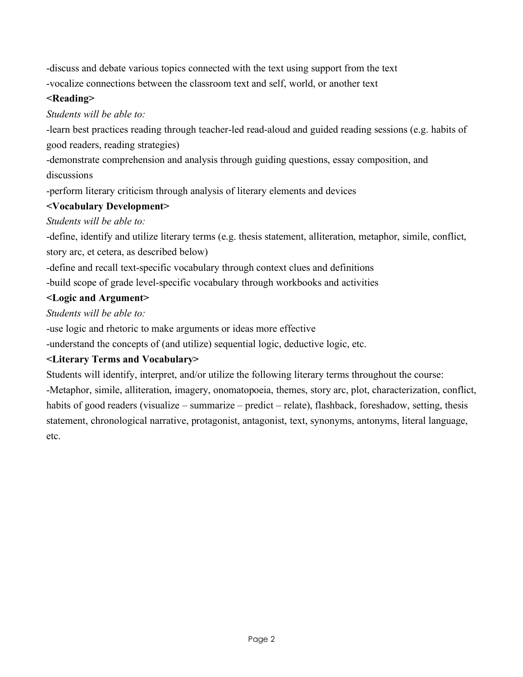-discuss and debate various topics connected with the text using support from the text

-vocalize connections between the classroom text and self, world, or another text

## **<Reading>**

## *Students will be able to:*

-learn best practices reading through teacher-led read-aloud and guided reading sessions (e.g. habits of good readers, reading strategies)

-demonstrate comprehension and analysis through guiding questions, essay composition, and discussions

-perform literary criticism through analysis of literary elements and devices

# **<Vocabulary Development>**

# *Students will be able to:*

-define, identify and utilize literary terms (e.g. thesis statement, alliteration, metaphor, simile, conflict, story arc, et cetera, as described below)

-define and recall text-specific vocabulary through context clues and definitions

-build scope of grade level-specific vocabulary through workbooks and activities

# **<Logic and Argument>**

*Students will be able to:*

-use logic and rhetoric to make arguments or ideas more effective

-understand the concepts of (and utilize) sequential logic, deductive logic, etc.

# **<Literary Terms and Vocabulary>**

Students will identify, interpret, and/or utilize the following literary terms throughout the course:

-Metaphor, simile, alliteration, imagery, onomatopoeia, themes, story arc, plot, characterization, conflict, habits of good readers (visualize – summarize – predict – relate), flashback, foreshadow, setting, thesis statement, chronological narrative, protagonist, antagonist, text, synonyms, antonyms, literal language, etc.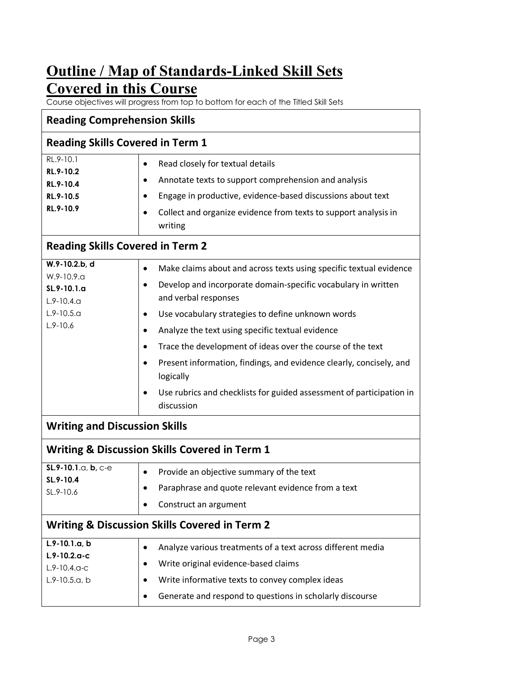# **Outline / Map of Standards-Linked Skill Sets Covered in this Course**

Course objectives will progress from top to bottom for each of the Titled Skill Sets

| <b>Reading Comprehension Skills</b>                                                                |                                                                                                                                                                                                                                                                                           |  |  |  |  |  |
|----------------------------------------------------------------------------------------------------|-------------------------------------------------------------------------------------------------------------------------------------------------------------------------------------------------------------------------------------------------------------------------------------------|--|--|--|--|--|
| <b>Reading Skills Covered in Term 1</b>                                                            |                                                                                                                                                                                                                                                                                           |  |  |  |  |  |
| RL.9-10.1<br>RL.9-10.2<br>RL.9-10.4<br>RL.9-10.5<br>RL.9-10.9                                      | Read closely for textual details<br>$\bullet$<br>Annotate texts to support comprehension and analysis<br>$\bullet$<br>Engage in productive, evidence-based discussions about text<br>$\bullet$<br>Collect and organize evidence from texts to support analysis in<br>$\bullet$<br>writing |  |  |  |  |  |
| <b>Reading Skills Covered in Term 2</b>                                                            |                                                                                                                                                                                                                                                                                           |  |  |  |  |  |
| W.9-10.2.b, d<br>W.9-10.9.a<br>$SL.9 - 10.1.a$<br>$L.9 - 10.4.9$<br>$L.9 - 10.5.a$<br>$L.9 - 10.6$ | Make claims about and across texts using specific textual evidence<br>$\bullet$<br>Develop and incorporate domain-specific vocabulary in written<br>$\bullet$<br>and verbal responses                                                                                                     |  |  |  |  |  |
|                                                                                                    | Use vocabulary strategies to define unknown words<br>$\bullet$<br>Analyze the text using specific textual evidence<br>$\bullet$<br>Trace the development of ideas over the course of the text<br>$\bullet$                                                                                |  |  |  |  |  |
|                                                                                                    | Present information, findings, and evidence clearly, concisely, and<br>$\bullet$<br>logically<br>Use rubrics and checklists for guided assessment of participation in<br>discussion                                                                                                       |  |  |  |  |  |
| <b>Writing and Discussion Skills</b>                                                               |                                                                                                                                                                                                                                                                                           |  |  |  |  |  |
|                                                                                                    | <b>Writing &amp; Discussion Skills Covered in Term 1</b>                                                                                                                                                                                                                                  |  |  |  |  |  |
| SL.9-10.1.a, b, c-e<br>SL.9-10.4<br>SL.9-10.6                                                      | Provide an objective summary of the text<br>$\bullet$<br>Paraphrase and quote relevant evidence from a text<br>$\bullet$<br>Construct an argument                                                                                                                                         |  |  |  |  |  |
| <b>Writing &amp; Discussion Skills Covered in Term 2</b>                                           |                                                                                                                                                                                                                                                                                           |  |  |  |  |  |
| $L.9-10.1.a, b$<br>$L.9 - 10.2.a - c$<br>$L.9 - 10.4.0 - C$<br>$L.9-10.5.a, b$                     | Analyze various treatments of a text across different media<br>$\bullet$<br>Write original evidence-based claims<br>$\bullet$<br>Write informative texts to convey complex ideas<br>$\bullet$<br>Generate and respond to questions in scholarly discourse<br>٠                            |  |  |  |  |  |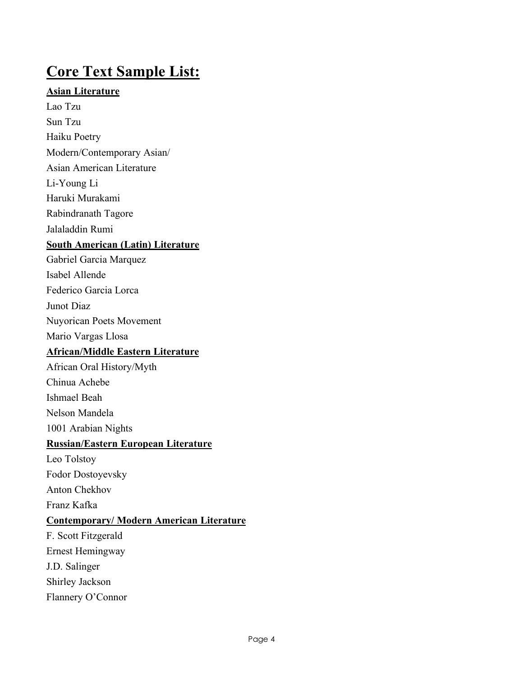# **Core Text Sample List:**

### **Asian Literature**

Lao Tzu Sun Tzu

Haiku Poetry

Modern/Contemporary Asian/

Asian American Literature

Li-Young Li

Haruki Murakami

Rabindranath Tagore

Jalaladdin Rumi

### **South American (Latin) Literature**

Gabriel Garcia Marquez

Isabel Allende

Federico Garcia Lorca

Junot Diaz

Nuyorican Poets Movement

Mario Vargas Llosa

## **African/Middle Eastern Literature**

African Oral History/Myth

Chinua Achebe

Ishmael Beah

Nelson Mandela

1001 Arabian Nights

## **Russian/Eastern European Literature**

Leo Tolstoy

Fodor Dostoyevsky

Anton Chekhov

Franz Kafka

### **Contemporary/ Modern American Literature**

F. Scott Fitzgerald Ernest Hemingway J.D. Salinger Shirley Jackson Flannery O'Connor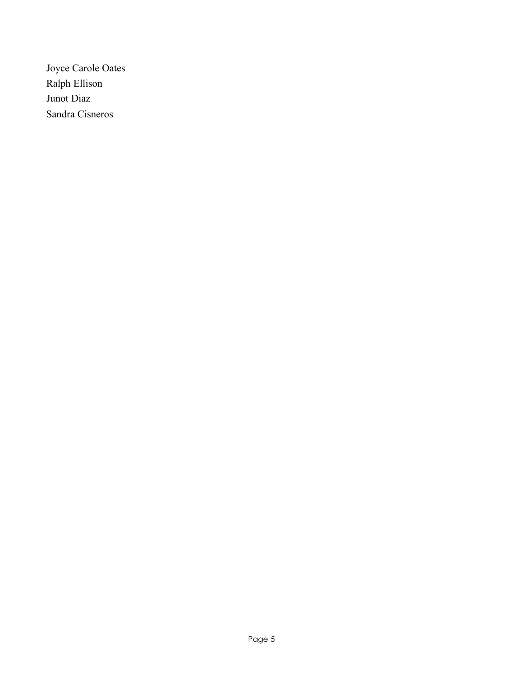Joyce Carole Oates Ralph Ellison Junot Diaz Sandra Cisneros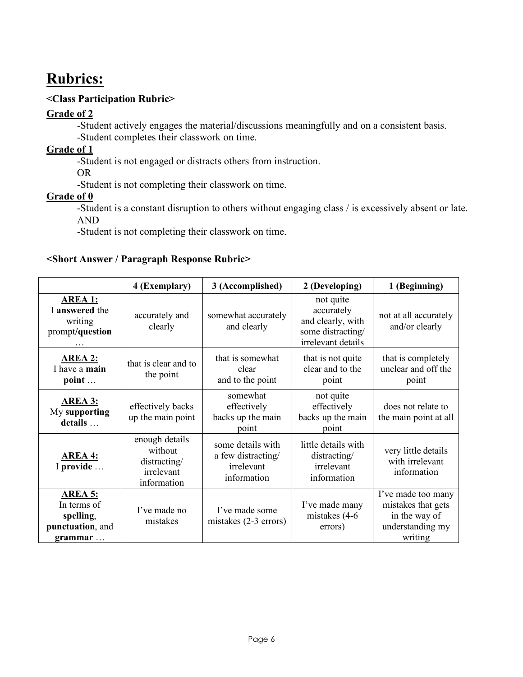# **Rubrics:**

### **<Class Participation Rubric>**

### **Grade of 2**

-Student actively engages the material/discussions meaningfully and on a consistent basis. -Student completes their classwork on time.

### **Grade of 1**

-Student is not engaged or distracts others from instruction.

OR

-Student is not completing their classwork on time.

### **Grade of 0**

-Student is a constant disruption to others without engaging class / is excessively absent or late. AND

-Student is not completing their classwork on time.

#### **<Short Answer / Paragraph Response Rubric>**

|                                                                           | 4 (Exemplary)                                                          | 3 (Accomplished)                                                     | 2 (Developing)                                                                          | 1 (Beginning)                                                                            |
|---------------------------------------------------------------------------|------------------------------------------------------------------------|----------------------------------------------------------------------|-----------------------------------------------------------------------------------------|------------------------------------------------------------------------------------------|
| <b>AREA 1:</b><br>I answered the<br>writing<br>prompt/question            | accurately and<br>clearly                                              | somewhat accurately<br>and clearly                                   | not quite<br>accurately<br>and clearly, with<br>some distracting/<br>irrelevant details | not at all accurately<br>and/or clearly                                                  |
| <b>AREA 2:</b><br>I have a main<br>point                                  | that is clear and to<br>the point                                      | that is somewhat<br>clear<br>and to the point                        | that is not quite<br>clear and to the<br>point                                          | that is completely<br>unclear and off the<br>point                                       |
| <b>AREA 3:</b><br>My supporting<br>details                                | effectively backs<br>up the main point                                 | somewhat<br>effectively<br>backs up the main<br>point                | not quite<br>effectively<br>backs up the main<br>point                                  | does not relate to<br>the main point at all                                              |
| <b>AREA 4:</b><br>I provide                                               | enough details<br>without<br>distracting/<br>irrelevant<br>information | some details with<br>a few distracting/<br>irrelevant<br>information | little details with<br>distracting/<br>irrelevant<br>information                        | very little details<br>with irrelevant<br>information                                    |
| <b>AREA 5:</b><br>In terms of<br>spelling,<br>punctuation, and<br>grammar | I've made no<br>mistakes                                               | I've made some<br>mistakes $(2-3$ errors)                            | I've made many<br>mistakes (4-6)<br>errors)                                             | I've made too many<br>mistakes that gets<br>in the way of<br>understanding my<br>writing |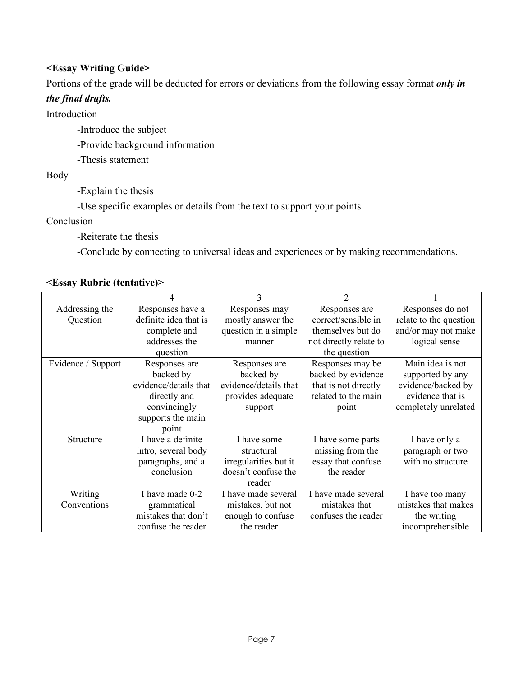### **<Essay Writing Guide>**

Portions of the grade will be deducted for errors or deviations from the following essay format *only in* 

#### *the final drafts.*

Introduction

-Introduce the subject

-Provide background information

-Thesis statement

Body

-Explain the thesis

-Use specific examples or details from the text to support your points

Conclusion

-Reiterate the thesis

-Conclude by connecting to universal ideas and experiences or by making recommendations.

### **<Essay Rubric (tentative)>**

|                    |                       |                       | 2                      |                        |
|--------------------|-----------------------|-----------------------|------------------------|------------------------|
| Addressing the     | Responses have a      | Responses may         | Responses are          | Responses do not       |
| Question           | definite idea that is | mostly answer the     | correct/sensible in    | relate to the question |
|                    | complete and          | question in a simple  | themselves but do      | and/or may not make    |
|                    | addresses the         | manner                | not directly relate to | logical sense          |
|                    | question              |                       | the question           |                        |
| Evidence / Support | Responses are         | Responses are         | Responses may be       | Main idea is not       |
|                    | backed by             | backed by             | backed by evidence     | supported by any       |
|                    | evidence/details that | evidence/details that | that is not directly   | evidence/backed by     |
|                    | directly and          | provides adequate     | related to the main    | evidence that is       |
|                    | convincingly          | support               | point                  | completely unrelated   |
|                    | supports the main     |                       |                        |                        |
|                    | point                 |                       |                        |                        |
| Structure          | I have a definite     | I have some           | I have some parts      | I have only a          |
|                    | intro, several body   | structural            | missing from the       | paragraph or two       |
|                    | paragraphs, and a     | irregularities but it | essay that confuse     | with no structure      |
|                    | conclusion            | doesn't confuse the   | the reader             |                        |
|                    |                       | reader                |                        |                        |
| Writing            | I have made 0-2       | I have made several   | I have made several    | I have too many        |
| Conventions        | grammatical           | mistakes, but not     | mistakes that          | mistakes that makes    |
|                    | mistakes that don't   | enough to confuse     | confuses the reader    | the writing            |
|                    | confuse the reader    | the reader            |                        | incomprehensible       |